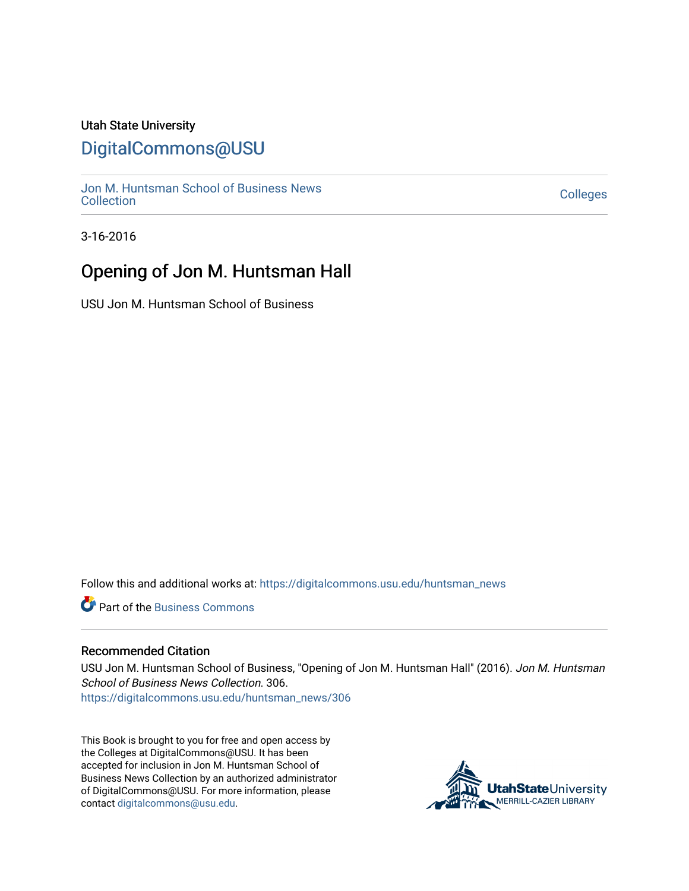### Utah State University

## [DigitalCommons@USU](https://digitalcommons.usu.edu/)

[Jon M. Huntsman School of Business News](https://digitalcommons.usu.edu/huntsman_news)  Soft M. Huntsman School of Business News<br>[Collection](https://digitalcommons.usu.edu/huntsman_news) Colleges

3-16-2016

## Opening of Jon M. Huntsman Hall

USU Jon M. Huntsman School of Business

Follow this and additional works at: [https://digitalcommons.usu.edu/huntsman\\_news](https://digitalcommons.usu.edu/huntsman_news?utm_source=digitalcommons.usu.edu%2Fhuntsman_news%2F306&utm_medium=PDF&utm_campaign=PDFCoverPages) 

**C** Part of the [Business Commons](http://network.bepress.com/hgg/discipline/622?utm_source=digitalcommons.usu.edu%2Fhuntsman_news%2F306&utm_medium=PDF&utm_campaign=PDFCoverPages)

#### Recommended Citation

USU Jon M. Huntsman School of Business, "Opening of Jon M. Huntsman Hall" (2016). Jon M. Huntsman School of Business News Collection. 306. [https://digitalcommons.usu.edu/huntsman\\_news/306](https://digitalcommons.usu.edu/huntsman_news/306?utm_source=digitalcommons.usu.edu%2Fhuntsman_news%2F306&utm_medium=PDF&utm_campaign=PDFCoverPages) 

This Book is brought to you for free and open access by the Colleges at DigitalCommons@USU. It has been accepted for inclusion in Jon M. Huntsman School of Business News Collection by an authorized administrator of DigitalCommons@USU. For more information, please contact [digitalcommons@usu.edu](mailto:digitalcommons@usu.edu).

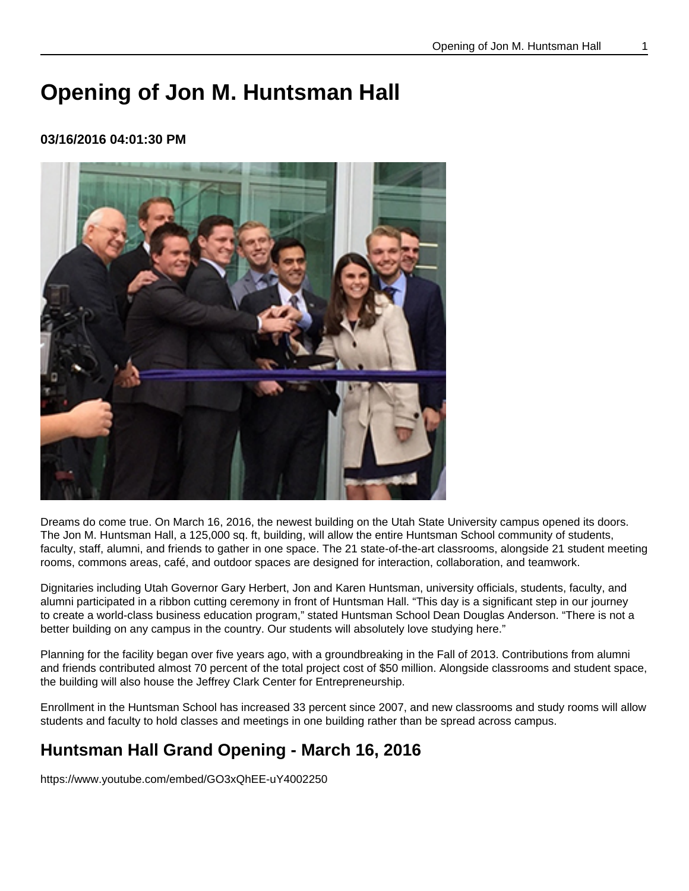# **Opening of Jon M. Huntsman Hall**

### **03/16/2016 04:01:30 PM**



Dreams do come true. On March 16, 2016, the newest building on the Utah State University campus opened its doors. The Jon M. Huntsman Hall, a 125,000 sq. ft, building, will allow the entire Huntsman School community of students, faculty, staff, alumni, and friends to gather in one space. The 21 state-of-the-art classrooms, alongside 21 student meeting rooms, commons areas, café, and outdoor spaces are designed for interaction, collaboration, and teamwork.

Dignitaries including Utah Governor Gary Herbert, Jon and Karen Huntsman, university officials, students, faculty, and alumni participated in a ribbon cutting ceremony in front of Huntsman Hall. "This day is a significant step in our journey to create a world-class business education program," stated Huntsman School Dean Douglas Anderson. "There is not a better building on any campus in the country. Our students will absolutely love studying here."

Planning for the facility began over five years ago, with a groundbreaking in the Fall of 2013. Contributions from alumni and friends contributed almost 70 percent of the total project cost of \$50 million. Alongside classrooms and student space, the building will also house the Jeffrey Clark Center for Entrepreneurship.

Enrollment in the Huntsman School has increased 33 percent since 2007, and new classrooms and study rooms will allow students and faculty to hold classes and meetings in one building rather than be spread across campus.

## **Huntsman Hall Grand Opening - March 16, 2016**

[https://www.youtube.com/embed/GO3xQhEE-uY4002250](https://www.youtube.com/embed/GO3xQhEE-uY)